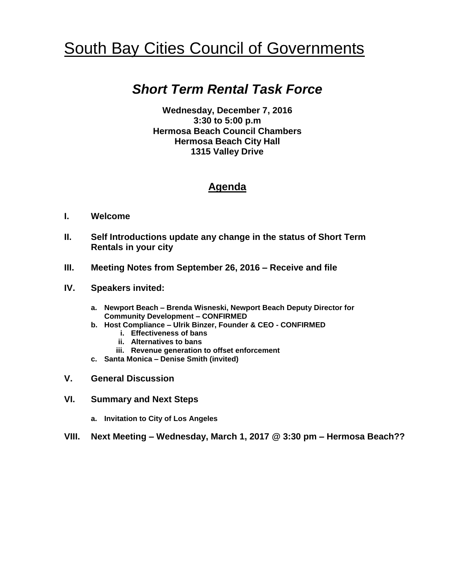# South Bay Cities Council of Governments

## *Short Term Rental Task Force*

**Wednesday, December 7, 2016 3:30 to 5:00 p.m Hermosa Beach Council Chambers Hermosa Beach City Hall 1315 Valley Drive**

#### **Agenda**

- **I. Welcome**
- **II. Self Introductions update any change in the status of Short Term Rentals in your city**
- **III. Meeting Notes from September 26, 2016 – Receive and file**
- **IV. Speakers invited:**
	- **a. Newport Beach – Brenda Wisneski, Newport Beach Deputy Director for Community Development – CONFIRMED**
	- **b. Host Compliance – Ulrik Binzer, Founder & CEO - CONFIRMED**
		- **i. Effectiveness of bans**
		- **ii. Alternatives to bans**
		- **iii. Revenue generation to offset enforcement**
	- **c. Santa Monica – Denise Smith (invited)**
- **V. General Discussion**
- **VI. Summary and Next Steps**
	- **a. Invitation to City of Los Angeles**
- **VIII. Next Meeting – Wednesday, March 1, 2017 @ 3:30 pm – Hermosa Beach??**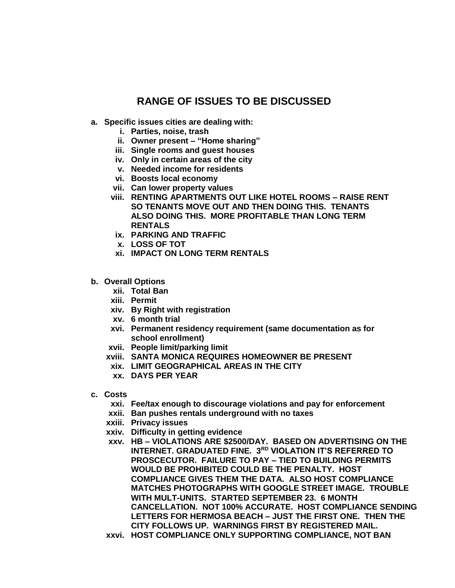### **RANGE OF ISSUES TO BE DISCUSSED**

- **a. Specific issues cities are dealing with:**
	- **i. Parties, noise, trash**
	- **ii. Owner present – "Home sharing"**
	- **iii. Single rooms and guest houses**
	- **iv. Only in certain areas of the city**
	- **v. Needed income for residents**
	- **vi. Boosts local economy**
	- **vii. Can lower property values**
	- **viii. RENTING APARTMENTS OUT LIKE HOTEL ROOMS – RAISE RENT SO TENANTS MOVE OUT AND THEN DOING THIS. TENANTS ALSO DOING THIS. MORE PROFITABLE THAN LONG TERM RENTALS**
	- **ix. PARKING AND TRAFFIC**
	- **x. LOSS OF TOT**
	- **xi. IMPACT ON LONG TERM RENTALS**
- **b. Overall Options**
	- **xii. Total Ban**
	- **xiii. Permit**
	- **xiv. By Right with registration**
	- **xv. 6 month trial**
	- **xvi. Permanent residency requirement (same documentation as for school enrollment)**
	- **xvii. People limit/parking limit**
	- **xviii. SANTA MONICA REQUIRES HOMEOWNER BE PRESENT**
	- **xix. LIMIT GEOGRAPHICAL AREAS IN THE CITY**
	- **xx. DAYS PER YEAR**
- **c. Costs**
	- **xxi. Fee/tax enough to discourage violations and pay for enforcement**
	- **xxii. Ban pushes rentals underground with no taxes**
	- **xxiii. Privacy issues**
	- **xxiv. Difficulty in getting evidence**
	- **xxv. HB – VIOLATIONS ARE \$2500/DAY. BASED ON ADVERTISING ON THE INTERNET. GRADUATED FINE. 3RD VIOLATION IT'S REFERRED TO PROSCECUTOR. FAILURE TO PAY – TIED TO BUILDING PERMITS WOULD BE PROHIBITED COULD BE THE PENALTY. HOST COMPLIANCE GIVES THEM THE DATA. ALSO HOST COMPLIANCE MATCHES PHOTOGRAPHS WITH GOOGLE STREET IMAGE. TROUBLE WITH MULT-UNITS. STARTED SEPTEMBER 23. 6 MONTH CANCELLATION. NOT 100% ACCURATE. HOST COMPLIANCE SENDING LETTERS FOR HERMOSA BEACH – JUST THE FIRST ONE. THEN THE CITY FOLLOWS UP. WARNINGS FIRST BY REGISTERED MAIL.**
	- **xxvi. HOST COMPLIANCE ONLY SUPPORTING COMPLIANCE, NOT BAN**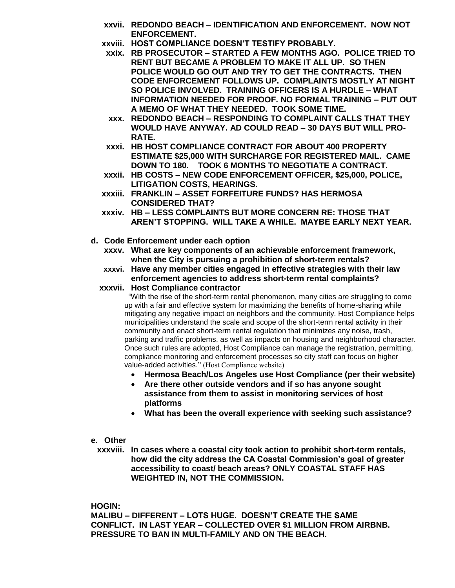- **xxvii. REDONDO BEACH – IDENTIFICATION AND ENFORCEMENT. NOW NOT ENFORCEMENT.**
- **xxviii. HOST COMPLIANCE DOESN'T TESTIFY PROBABLY.**
- **xxix. RB PROSECUTOR – STARTED A FEW MONTHS AGO. POLICE TRIED TO RENT BUT BECAME A PROBLEM TO MAKE IT ALL UP. SO THEN POLICE WOULD GO OUT AND TRY TO GET THE CONTRACTS. THEN CODE ENFORCEMENT FOLLOWS UP. COMPLAINTS MOSTLY AT NIGHT SO POLICE INVOLVED. TRAINING OFFICERS IS A HURDLE – WHAT INFORMATION NEEDED FOR PROOF. NO FORMAL TRAINING – PUT OUT A MEMO OF WHAT THEY NEEDED. TOOK SOME TIME.**
- **xxx. REDONDO BEACH – RESPONDING TO COMPLAINT CALLS THAT THEY WOULD HAVE ANYWAY. AD COULD READ – 30 DAYS BUT WILL PRO-RATE.**
- **xxxi. HB HOST COMPLIANCE CONTRACT FOR ABOUT 400 PROPERTY ESTIMATE \$25,000 WITH SURCHARGE FOR REGISTERED MAIL. CAME DOWN TO 180. TOOK 6 MONTHS TO NEGOTIATE A CONTRACT.**
- **xxxii. HB COSTS – NEW CODE ENFORCEMENT OFFICER, \$25,000, POLICE, LITIGATION COSTS, HEARINGS.**
- **xxxiii. FRANKLIN – ASSET FORFEITURE FUNDS? HAS HERMOSA CONSIDERED THAT?**
- **xxxiv. HB – LESS COMPLAINTS BUT MORE CONCERN RE: THOSE THAT AREN'T STOPPING. WILL TAKE A WHILE. MAYBE EARLY NEXT YEAR.**
- **d. Code Enforcement under each option**
	- **xxxv. What are key components of an achievable enforcement framework, when the City is pursuing a prohibition of short-term rentals?**
	- **xxxvi. Have any member cities engaged in effective strategies with their law enforcement agencies to address short-term rental complaints?**
	- **xxxvii. Host Compliance contractor**

"With the rise of the short-term rental phenomenon, many cities are struggling to come up with a fair and effective system for maximizing the benefits of home-sharing while mitigating any negative impact on neighbors and the community. Host Compliance helps municipalities understand the scale and scope of the short-term rental activity in their community and enact short-term rental regulation that minimizes any noise, trash, parking and traffic problems, as well as impacts on housing and neighborhood character. Once such rules are adopted, Host Compliance can manage the registration, permitting, compliance monitoring and enforcement processes so city staff can focus on higher value-added activities." (Host Compliance website)

- **Hermosa Beach/Los Angeles use Host Compliance (per their website)**
- **Are there other outside vendors and if so has anyone sought assistance from them to assist in monitoring services of host platforms**
- **What has been the overall experience with seeking such assistance?**

#### **e. Other**

**xxxviii. In cases where a coastal city took action to prohibit short-term rentals, how did the city address the CA Coastal Commission's goal of greater accessibility to coast/ beach areas? ONLY COASTAL STAFF HAS WEIGHTED IN, NOT THE COMMISSION.**

**HOGIN:**

**MALIBU – DIFFERENT – LOTS HUGE. DOESN'T CREATE THE SAME CONFLICT. IN LAST YEAR – COLLECTED OVER \$1 MILLION FROM AIRBNB. PRESSURE TO BAN IN MULTI-FAMILY AND ON THE BEACH.**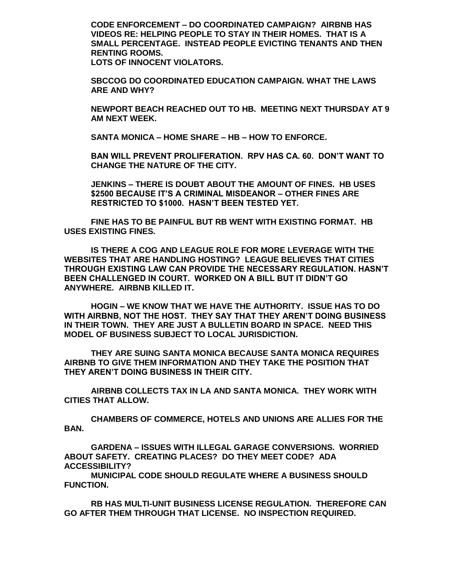**CODE ENFORCEMENT – DO COORDINATED CAMPAIGN? AIRBNB HAS VIDEOS RE: HELPING PEOPLE TO STAY IN THEIR HOMES. THAT IS A SMALL PERCENTAGE. INSTEAD PEOPLE EVICTING TENANTS AND THEN RENTING ROOMS. LOTS OF INNOCENT VIOLATORS.**

**SBCCOG DO COORDINATED EDUCATION CAMPAIGN. WHAT THE LAWS ARE AND WHY?**

**NEWPORT BEACH REACHED OUT TO HB. MEETING NEXT THURSDAY AT 9 AM NEXT WEEK.**

**SANTA MONICA – HOME SHARE – HB – HOW TO ENFORCE.**

**BAN WILL PREVENT PROLIFERATION. RPV HAS CA. 60. DON'T WANT TO CHANGE THE NATURE OF THE CITY.**

**JENKINS – THERE IS DOUBT ABOUT THE AMOUNT OF FINES. HB USES \$2500 BECAUSE IT'S A CRIMINAL MISDEANOR – OTHER FINES ARE RESTRICTED TO \$1000. HASN'T BEEN TESTED YET.**

**FINE HAS TO BE PAINFUL BUT RB WENT WITH EXISTING FORMAT. HB USES EXISTING FINES.**

**IS THERE A COG AND LEAGUE ROLE FOR MORE LEVERAGE WITH THE WEBSITES THAT ARE HANDLING HOSTING? LEAGUE BELIEVES THAT CITIES THROUGH EXISTING LAW CAN PROVIDE THE NECESSARY REGULATION. HASN'T BEEN CHALLENGED IN COURT. WORKED ON A BILL BUT IT DIDN'T GO ANYWHERE. AIRBNB KILLED IT.**

**HOGIN – WE KNOW THAT WE HAVE THE AUTHORITY. ISSUE HAS TO DO WITH AIRBNB, NOT THE HOST. THEY SAY THAT THEY AREN'T DOING BUSINESS IN THEIR TOWN. THEY ARE JUST A BULLETIN BOARD IN SPACE. NEED THIS MODEL OF BUSINESS SUBJECT TO LOCAL JURISDICTION.**

**THEY ARE SUING SANTA MONICA BECAUSE SANTA MONICA REQUIRES AIRBNB TO GIVE THEM INFORMATION AND THEY TAKE THE POSITION THAT THEY AREN'T DOING BUSINESS IN THEIR CITY.**

**AIRBNB COLLECTS TAX IN LA AND SANTA MONICA. THEY WORK WITH CITIES THAT ALLOW.** 

**CHAMBERS OF COMMERCE, HOTELS AND UNIONS ARE ALLIES FOR THE BAN.**

**GARDENA – ISSUES WITH ILLEGAL GARAGE CONVERSIONS. WORRIED ABOUT SAFETY. CREATING PLACES? DO THEY MEET CODE? ADA ACCESSIBILITY?**

**MUNICIPAL CODE SHOULD REGULATE WHERE A BUSINESS SHOULD FUNCTION.**

**RB HAS MULTI-UNIT BUSINESS LICENSE REGULATION. THEREFORE CAN GO AFTER THEM THROUGH THAT LICENSE. NO INSPECTION REQUIRED.**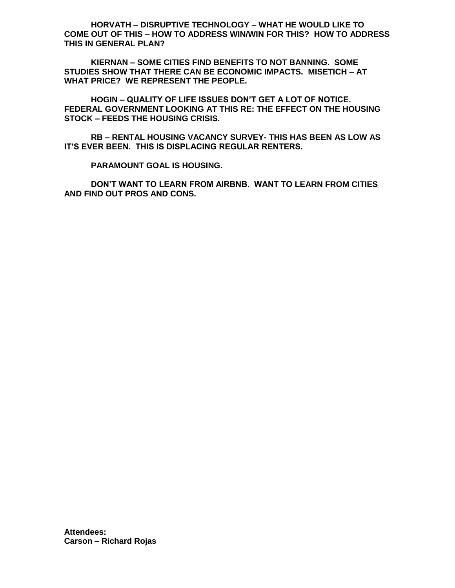**HORVATH – DISRUPTIVE TECHNOLOGY – WHAT HE WOULD LIKE TO COME OUT OF THIS – HOW TO ADDRESS WIN/WIN FOR THIS? HOW TO ADDRESS THIS IN GENERAL PLAN?**

**KIERNAN – SOME CITIES FIND BENEFITS TO NOT BANNING. SOME STUDIES SHOW THAT THERE CAN BE ECONOMIC IMPACTS. MISETICH – AT WHAT PRICE? WE REPRESENT THE PEOPLE.**

**HOGIN – QUALITY OF LIFE ISSUES DON'T GET A LOT OF NOTICE. FEDERAL GOVERNMENT LOOKING AT THIS RE: THE EFFECT ON THE HOUSING STOCK – FEEDS THE HOUSING CRISIS.**

**RB – RENTAL HOUSING VACANCY SURVEY- THIS HAS BEEN AS LOW AS IT'S EVER BEEN. THIS IS DISPLACING REGULAR RENTERS.**

**PARAMOUNT GOAL IS HOUSING.**

**DON'T WANT TO LEARN FROM AIRBNB. WANT TO LEARN FROM CITIES AND FIND OUT PROS AND CONS.**